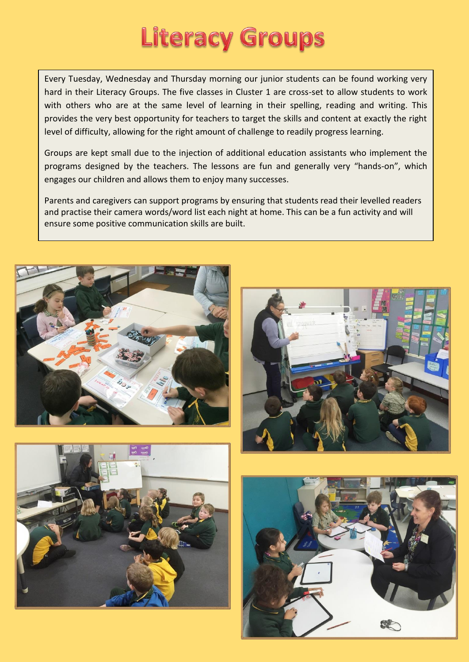## **Literacy Groups**

Every Tuesday, Wednesday and Thursday morning our junior students can be found working very hard in their Literacy Groups. The five classes in Cluster 1 are cross-set to allow students to work with others who are at the same level of learning in their spelling, reading and writing. This provides the very best opportunity for teachers to target the skills and content at exactly the right level of difficulty, allowing for the right amount of challenge to readily progress learning.

Groups are kept small due to the injection of additional education assistants who implement the programs designed by the teachers. The lessons are fun and generally very "hands-on", which engages our children and allows them to enjoy many successes.

Parents and caregivers can support programs by ensuring that students read their levelled readers and practise their camera words/word list each night at home. This can be a fun activity and will ensure some positive communication skills are built.